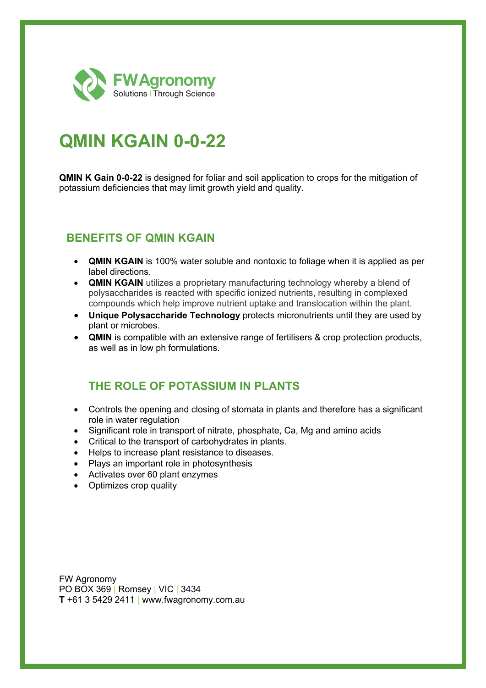

# **QMIN KGAIN 0-0-22**

**QMIN K Gain 0-0-22** is designed for foliar and soil application to crops for the mitigation of potassium deficiencies that may limit growth yield and quality.

#### **BENEFITS OF QMIN KGAIN**

- **QMIN KGAIN** is 100% water soluble and nontoxic to foliage when it is applied as per label directions.
- **QMIN KGAIN** utilizes a proprietary manufacturing technology whereby a blend of polysaccharides is reacted with specific ionized nutrients, resulting in complexed compounds which help improve nutrient uptake and translocation within the plant.
- **Unique Polysaccharide Technology** protects micronutrients until they are used by plant or microbes.
- **QMIN** is compatible with an extensive range of fertilisers & crop protection products, as well as in low ph formulations.

### **THE ROLE OF POTASSIUM IN PLANTS**

- Controls the opening and closing of stomata in plants and therefore has a significant role in water regulation
- Significant role in transport of nitrate, phosphate, Ca, Mg and amino acids
- Critical to the transport of carbohydrates in plants.
- Helps to increase plant resistance to diseases.
- Plays an important role in photosynthesis
- Activates over 60 plant enzymes
- Optimizes crop quality

FW Agronomy PO BOX 369 | Romsey | VIC | 3434 **T** +61 3 5429 2411 | www.fwagronomy.com.au